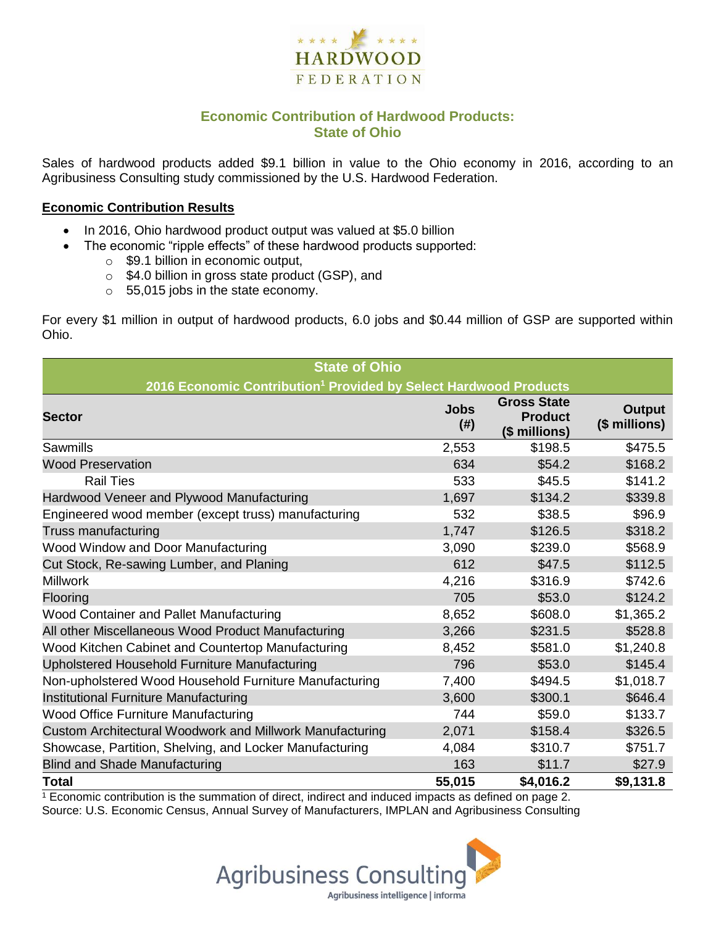

## **Economic Contribution of Hardwood Products: State of Ohio**

Sales of hardwood products added \$9.1 billion in value to the Ohio economy in 2016, according to an Agribusiness Consulting study commissioned by the U.S. Hardwood Federation.

#### **Economic Contribution Results**

- In 2016, Ohio hardwood product output was valued at \$5.0 billion
	- The economic "ripple effects" of these hardwood products supported:
		- $\circ$  \$9.1 billion in economic output,
		- o \$4.0 billion in gross state product (GSP), and
		- o 55,015 jobs in the state economy.

For every \$1 million in output of hardwood products, 6.0 jobs and \$0.44 million of GSP are supported within Ohio.

| <b>State of Ohio</b>                                                         |                     |                                                       |                                |  |  |  |  |
|------------------------------------------------------------------------------|---------------------|-------------------------------------------------------|--------------------------------|--|--|--|--|
| 2016 Economic Contribution <sup>1</sup> Provided by Select Hardwood Products |                     |                                                       |                                |  |  |  |  |
| <b>Sector</b>                                                                | <b>Jobs</b><br>(# ) | <b>Gross State</b><br><b>Product</b><br>(\$ millions) | <b>Output</b><br>(\$ millions) |  |  |  |  |
| Sawmills                                                                     | 2,553               | \$198.5                                               | \$475.5                        |  |  |  |  |
| <b>Wood Preservation</b>                                                     | 634                 | \$54.2                                                | \$168.2                        |  |  |  |  |
| <b>Rail Ties</b>                                                             | 533                 | \$45.5                                                | \$141.2                        |  |  |  |  |
| Hardwood Veneer and Plywood Manufacturing                                    | 1,697               | \$134.2                                               | \$339.8                        |  |  |  |  |
| Engineered wood member (except truss) manufacturing                          | 532                 | \$38.5                                                | \$96.9                         |  |  |  |  |
| Truss manufacturing                                                          | 1,747               | \$126.5                                               | \$318.2                        |  |  |  |  |
| Wood Window and Door Manufacturing                                           | 3,090               | \$239.0                                               | \$568.9                        |  |  |  |  |
| Cut Stock, Re-sawing Lumber, and Planing                                     | 612                 | \$47.5                                                | \$112.5                        |  |  |  |  |
| <b>Millwork</b>                                                              | 4,216               | \$316.9                                               | \$742.6                        |  |  |  |  |
| Flooring                                                                     | 705                 | \$53.0                                                | \$124.2                        |  |  |  |  |
| Wood Container and Pallet Manufacturing                                      | 8,652               | \$608.0                                               | \$1,365.2                      |  |  |  |  |
| All other Miscellaneous Wood Product Manufacturing                           | 3,266               | \$231.5                                               | \$528.8                        |  |  |  |  |
| Wood Kitchen Cabinet and Countertop Manufacturing                            | 8,452               | \$581.0                                               | \$1,240.8                      |  |  |  |  |
| Upholstered Household Furniture Manufacturing                                | 796                 | \$53.0                                                | \$145.4                        |  |  |  |  |
| Non-upholstered Wood Household Furniture Manufacturing                       | 7,400               | \$494.5                                               | \$1,018.7                      |  |  |  |  |
| Institutional Furniture Manufacturing                                        | 3,600               | \$300.1                                               | \$646.4                        |  |  |  |  |
| <b>Wood Office Furniture Manufacturing</b>                                   | 744                 | \$59.0                                                | \$133.7                        |  |  |  |  |
| Custom Architectural Woodwork and Millwork Manufacturing                     | 2,071               | \$158.4                                               | \$326.5                        |  |  |  |  |
| Showcase, Partition, Shelving, and Locker Manufacturing                      | 4,084               | \$310.7                                               | \$751.7                        |  |  |  |  |
| <b>Blind and Shade Manufacturing</b>                                         | 163                 | \$11.7                                                | \$27.9                         |  |  |  |  |
| <b>Total</b>                                                                 | 55,015              | \$4,016.2                                             | \$9,131.8                      |  |  |  |  |

 $1$  Economic contribution is the summation of direct, indirect and induced impacts as defined on page 2. Source: U.S. Economic Census, Annual Survey of Manufacturers, IMPLAN and Agribusiness Consulting